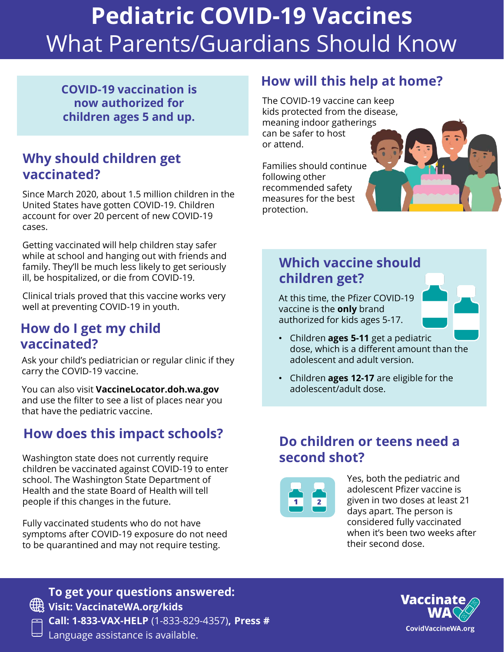# **Pediatric COVID-19 Vaccines** What Parents/Guardians Should Know

**COVID-19 vaccination is now authorized for children ages 5 and up.** 

#### **Why should children get vaccinated?**

Since March 2020, about 1.5 million children in the United States have gotten COVID-19. Children account for over 20 percent of new COVID-19 cases.

Getting vaccinated will help children stay safer while at school and hanging out with friends and family. They'll be much less likely to get seriously ill, be hospitalized, or die from COVID-19.

Clinical trials proved that this vaccine works very well at preventing COVID-19 in youth.

#### **How do I get my child vaccinated?**

Ask your child's pediatrician or regular clinic if they carry the COVID-19 vaccine.

You can also visit **VaccineLocator.doh.wa.gov**  and use the filter to see a list of places near you that have the pediatric vaccine.

# **How does this impact schools?**

Washington state does not currently require children be vaccinated against COVID-19 to enter school. The Washington State Department of Health and the state Board of Health will tell people if this changes in the future.

Fully vaccinated students who do not have symptoms after COVID-19 exposure do not need to be quarantined and may not require testing.

#### **How will this help at home?**

The COVID-19 vaccine can keep kids protected from the disease, meaning indoor gatherings can be safer to host or attend.

Families should continue following other recommended safety measures for the best protection.



At this time, the Pfizer COVID-19 vaccine is the **only** brand authorized for kids ages 5-17.



- Children **ages 5-11** get a pediatric dose, which is a different amount than the adolescent and adult version.
- Children **ages 12-17** are eligible for the adolescent/adult dose.

#### **Do children or teens need a second shot?**



Yes, both the pediatric and adolescent Pfizer vaccine is given in two doses at least 21 days apart. The person is considered fully vaccinated when it's been two weeks after their second dose.



**To get your questions answered: Visit: VaccinateWA.org/kids Call: 1-833-VAX-HELP** (1-833-829-4357)**, Press #** Language assistance is available.